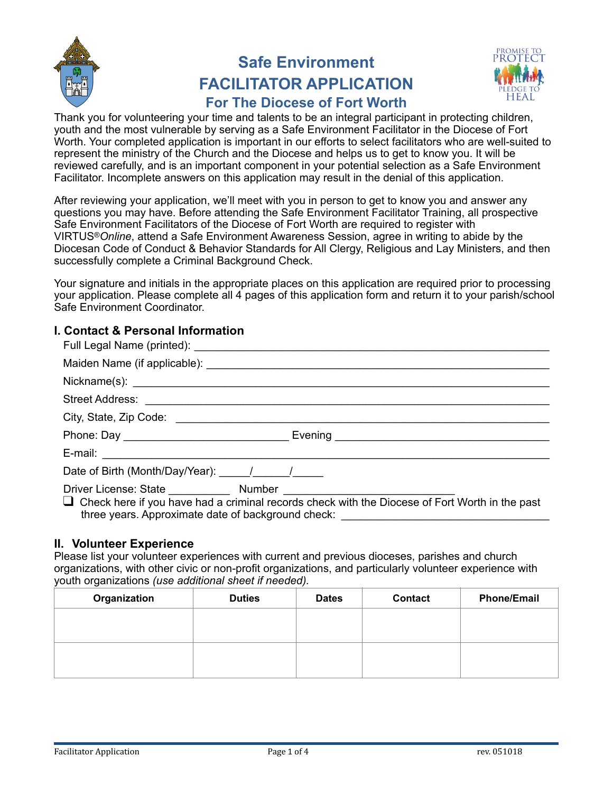

# **Safe Environment FACILITATOR APPLICATION**



# **For The Diocese of Fort Worth**

Thank you for volunteering your time and talents to be an integral participant in protecting children, youth and the most vulnerable by serving as a Safe Environment Facilitator in the Diocese of Fort Worth. Your completed application is important in our efforts to select facilitators who are well-suited to represent the ministry of the Church and the Diocese and helps us to get to know you. It will be reviewed carefully, and is an important component in your potential selection as a Safe Environment Facilitator. Incomplete answers on this application may result in the denial of this application.

After reviewing your application, we'll meet with you in person to get to know you and answer any questions you may have. Before attending the Safe Environment Facilitator Training, all prospective Safe Environment Facilitators of the Diocese of Fort Worth are required to register with VIRTUS®*Online*, attend a Safe Environment Awareness Session, agree in writing to abide by the Diocesan Code of Conduct & Behavior Standards for All Clergy, Religious and Lay Ministers, and then successfully complete a Criminal Background Check.

Your signature and initials in the appropriate places on this application are required prior to processing your application. Please complete all 4 pages of this application form and return it to your parish/school Safe Environment Coordinator.

# **I. Contact & Personal Information**

| $\Box$ Check here if you have had a criminal records check with the Diocese of Fort Worth in the past<br>three years. Approximate date of background check: ______________________________ |
|--------------------------------------------------------------------------------------------------------------------------------------------------------------------------------------------|

# **II. Volunteer Experience**

Please list your volunteer experiences with current and previous dioceses, parishes and church organizations, with other civic or non-profit organizations, and particularly volunteer experience with youth organizations *(use additional sheet if needed).* 

| Organization | <b>Duties</b> | <b>Dates</b> | Contact | <b>Phone/Email</b> |
|--------------|---------------|--------------|---------|--------------------|
|              |               |              |         |                    |
|              |               |              |         |                    |
|              |               |              |         |                    |
|              |               |              |         |                    |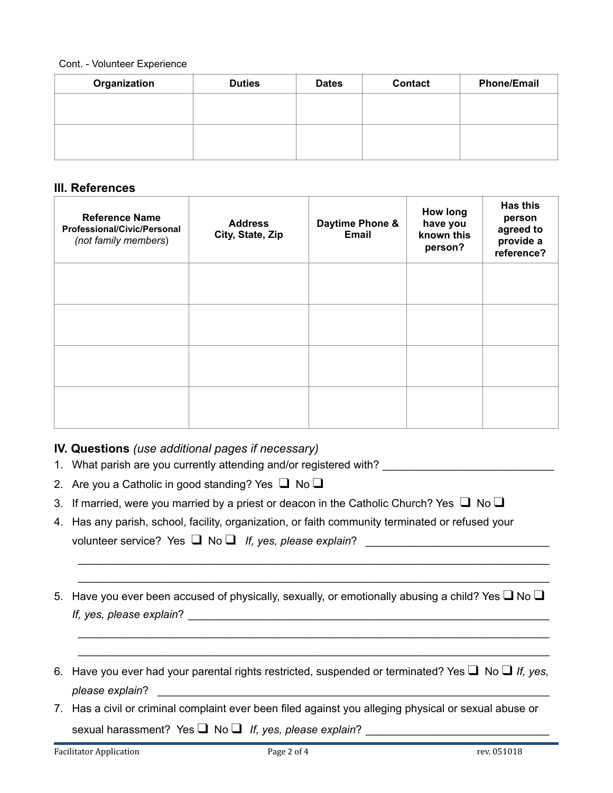#### Cont. - Volunteer Experience

| Organization | <b>Duties</b> | <b>Dates</b> | <b>Contact</b> | <b>Phone/Email</b> |
|--------------|---------------|--------------|----------------|--------------------|
|              |               |              |                |                    |
|              |               |              |                |                    |
|              |               |              |                |                    |
|              |               |              |                |                    |

#### **III. References**

| <b>Reference Name</b><br><b>Professional/Civic/Personal</b><br>(not family members) | <b>Address</b><br>City, State, Zip | Daytime Phone &<br>Email | <b>How long</b><br>have you<br>known this<br>person? | <b>Has this</b><br>person<br>agreed to<br>provide a<br>reference? |
|-------------------------------------------------------------------------------------|------------------------------------|--------------------------|------------------------------------------------------|-------------------------------------------------------------------|
|                                                                                     |                                    |                          |                                                      |                                                                   |
|                                                                                     |                                    |                          |                                                      |                                                                   |
|                                                                                     |                                    |                          |                                                      |                                                                   |
|                                                                                     |                                    |                          |                                                      |                                                                   |

# **IV. Questions** *(use additional pages if necessary)*

- 1. What parish are you currently attending and/or registered with?
- 2. Are you a Catholic in good standing? Yes  $\Box$  No  $\Box$
- 3. If married, were you married by a priest or deacon in the Catholic Church? Yes  $\Box$  No  $\Box$
- 4. Has any parish, school, facility, organization, or faith community terminated or refused your

volunteer service? Yes **□** No **□** *If, yes, please explain*?

5. Have you ever been accused of physically, sexually, or emotionally abusing a child? Yes  $\Box$  No  $\Box$ *If, yes, please explain*?

 \_\_\_\_\_\_\_\_\_\_\_\_\_\_\_\_\_\_\_\_\_\_\_\_\_\_\_\_\_\_\_\_\_\_\_\_\_\_\_\_\_\_\_\_\_\_\_\_\_\_\_\_\_\_\_\_\_\_\_\_\_\_\_\_\_\_\_\_\_\_\_\_\_\_\_\_\_ \_\_\_\_\_\_\_\_\_\_\_\_\_\_\_\_\_\_\_\_\_\_\_\_\_\_\_\_\_\_\_\_\_\_\_\_\_\_\_\_\_\_\_\_\_\_\_\_\_\_\_\_\_\_\_\_\_\_\_\_\_\_\_\_\_\_\_\_\_\_\_\_\_\_\_\_\_

 \_\_\_\_\_\_\_\_\_\_\_\_\_\_\_\_\_\_\_\_\_\_\_\_\_\_\_\_\_\_\_\_\_\_\_\_\_\_\_\_\_\_\_\_\_\_\_\_\_\_\_\_\_\_\_\_\_\_\_\_\_\_\_\_\_\_\_\_\_\_\_\_\_\_\_\_\_ \_\_\_\_\_\_\_\_\_\_\_\_\_\_\_\_\_\_\_\_\_\_\_\_\_\_\_\_\_\_\_\_\_\_\_\_\_\_\_\_\_\_\_\_\_\_\_\_\_\_\_\_\_\_\_\_\_\_\_\_\_\_\_\_\_\_\_\_\_\_\_\_\_\_\_\_\_

- 6. Have you ever had your parental rights restricted, suspended or terminated? Yes ❑ No ❑ *If, yes, please explain*? \_\_\_\_\_\_\_\_\_\_\_\_\_\_\_\_\_\_\_\_\_\_\_\_\_\_\_\_\_\_\_\_\_\_\_\_\_\_\_\_\_\_\_\_\_\_\_\_\_\_\_\_\_\_\_\_\_\_\_\_\_\_\_\_
- 7. Has a civil or criminal complaint ever been filed against you alleging physical or sexual abuse or sexual harassment? Yes ■ No ■ If, yes, please explain?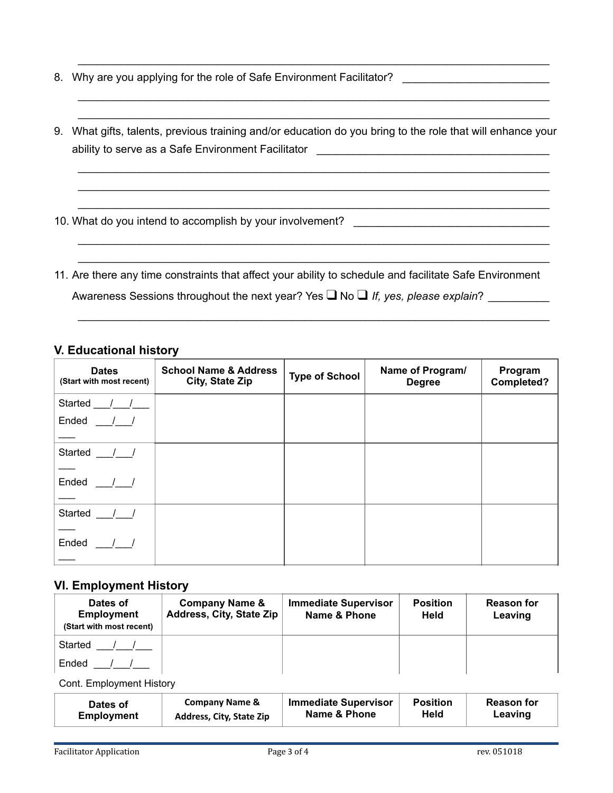- 8. Why are you applying for the role of Safe Environment Facilitator?
- 9. What gifts, talents, previous training and/or education do you bring to the role that will enhance your ability to serve as a Safe Environment Facilitator **Environment Facilitator**

 \_\_\_\_\_\_\_\_\_\_\_\_\_\_\_\_\_\_\_\_\_\_\_\_\_\_\_\_\_\_\_\_\_\_\_\_\_\_\_\_\_\_\_\_\_\_\_\_\_\_\_\_\_\_\_\_\_\_\_\_\_\_\_\_\_\_\_\_\_\_\_\_\_\_\_\_\_ \_\_\_\_\_\_\_\_\_\_\_\_\_\_\_\_\_\_\_\_\_\_\_\_\_\_\_\_\_\_\_\_\_\_\_\_\_\_\_\_\_\_\_\_\_\_\_\_\_\_\_\_\_\_\_\_\_\_\_\_\_\_\_\_\_\_\_\_\_\_\_\_\_\_\_\_\_ \_\_\_\_\_\_\_\_\_\_\_\_\_\_\_\_\_\_\_\_\_\_\_\_\_\_\_\_\_\_\_\_\_\_\_\_\_\_\_\_\_\_\_\_\_\_\_\_\_\_\_\_\_\_\_\_\_\_\_\_\_\_\_\_\_\_\_\_\_\_\_\_\_\_\_\_\_

\_\_\_\_\_\_\_\_\_\_\_\_\_\_\_\_\_\_\_\_\_\_\_\_\_\_\_\_\_\_\_\_\_\_\_\_\_\_\_\_\_\_\_\_\_\_\_\_\_\_\_\_\_\_\_\_\_\_\_\_\_\_\_\_\_\_\_\_\_\_\_\_\_\_\_\_\_ \_\_\_\_\_\_\_\_\_\_\_\_\_\_\_\_\_\_\_\_\_\_\_\_\_\_\_\_\_\_\_\_\_\_\_\_\_\_\_\_\_\_\_\_\_\_\_\_\_\_\_\_\_\_\_\_\_\_\_\_\_\_\_\_\_\_\_\_\_\_\_\_\_\_\_\_\_

\_\_\_\_\_\_\_\_\_\_\_\_\_\_\_\_\_\_\_\_\_\_\_\_\_\_\_\_\_\_\_\_\_\_\_\_\_\_\_\_\_\_\_\_\_\_\_\_\_\_\_\_\_\_\_\_\_\_\_\_\_\_\_\_\_\_\_\_\_\_\_\_\_\_\_\_\_

\_\_\_\_\_\_\_\_\_\_\_\_\_\_\_\_\_\_\_\_\_\_\_\_\_\_\_\_\_\_\_\_\_\_\_\_\_\_\_\_\_\_\_\_\_\_\_\_\_\_\_\_\_\_\_\_\_\_\_\_\_\_\_\_\_\_\_\_\_\_\_\_\_\_\_\_\_ \_\_\_\_\_\_\_\_\_\_\_\_\_\_\_\_\_\_\_\_\_\_\_\_\_\_\_\_\_\_\_\_\_\_\_\_\_\_\_\_\_\_\_\_\_\_\_\_\_\_\_\_\_\_\_\_\_\_\_\_\_\_\_\_\_\_\_\_\_\_\_\_\_\_\_\_\_

10. What do you intend to accomplish by your involvement?

11. Are there any time constraints that affect your ability to schedule and facilitate Safe Environment Awareness Sessions throughout the next year? Yes **□** No □ *If, yes, please explain*?

\_\_\_\_\_\_\_\_\_\_\_\_\_\_\_\_\_\_\_\_\_\_\_\_\_\_\_\_\_\_\_\_\_\_\_\_\_\_\_\_\_\_\_\_\_\_\_\_\_\_\_\_\_\_\_\_\_\_\_\_\_\_\_\_\_\_\_\_\_\_\_\_\_\_\_\_\_

#### **V. Educational history**

| <b>Dates</b><br>(Start with most recent) | <b>School Name &amp; Address</b><br>City, State Zip | <b>Type of School</b> | Name of Program/<br><b>Degree</b> | Program<br>Completed? |
|------------------------------------------|-----------------------------------------------------|-----------------------|-----------------------------------|-----------------------|
| Started ///                              |                                                     |                       |                                   |                       |
| Ended / /                                |                                                     |                       |                                   |                       |
|                                          |                                                     |                       |                                   |                       |
| Started $\frac{1}{2}$                    |                                                     |                       |                                   |                       |
| Ended $\frac{1}{1}$                      |                                                     |                       |                                   |                       |
| Started __/_/                            |                                                     |                       |                                   |                       |
| Ended / /                                |                                                     |                       |                                   |                       |

#### **VI. Employment History**

| Dates of<br><b>Employment</b><br>(Start with most recent) | <b>Company Name &amp;</b><br>Address, City, State Zip | <b>Immediate Supervisor</b><br>Name & Phone | <b>Position</b><br><b>Held</b> | <b>Reason for</b><br>Leaving |
|-----------------------------------------------------------|-------------------------------------------------------|---------------------------------------------|--------------------------------|------------------------------|
| Started                                                   |                                                       |                                             |                                |                              |
| Ended                                                     |                                                       |                                             |                                |                              |

Cont. Employment History

| Dates of          | <b>Company Name &amp;</b> | <b>Immediate Supervisor</b> | <b>Position</b> | <b>Reason for</b> |
|-------------------|---------------------------|-----------------------------|-----------------|-------------------|
| <b>Employment</b> | Address, City, State Zip  | Name & Phone                | Held            | Leaving           |